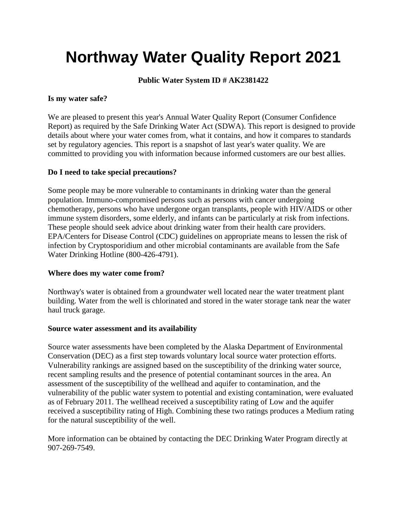# **Northway Water Quality Report 2021**

# **Public Water System ID # AK2381422**

### **Is my water safe?**

We are pleased to present this year's Annual Water Quality Report (Consumer Confidence Report) as required by the Safe Drinking Water Act (SDWA). This report is designed to provide details about where your water comes from, what it contains, and how it compares to standards set by regulatory agencies. This report is a snapshot of last year's water quality. We are committed to providing you with information because informed customers are our best allies.

# **Do I need to take special precautions?**

Some people may be more vulnerable to contaminants in drinking water than the general population. Immuno-compromised persons such as persons with cancer undergoing chemotherapy, persons who have undergone organ transplants, people with HIV/AIDS or other immune system disorders, some elderly, and infants can be particularly at risk from infections. These people should seek advice about drinking water from their health care providers. EPA/Centers for Disease Control (CDC) guidelines on appropriate means to lessen the risk of infection by Cryptosporidium and other microbial contaminants are available from the Safe Water Drinking Hotline (800-426-4791).

#### **Where does my water come from?**

Northway's water is obtained from a groundwater well located near the water treatment plant building. Water from the well is chlorinated and stored in the water storage tank near the water haul truck garage.

#### **Source water assessment and its availability**

Source water assessments have been completed by the Alaska Department of Environmental Conservation (DEC) as a first step towards voluntary local source water protection efforts. Vulnerability rankings are assigned based on the susceptibility of the drinking water source, recent sampling results and the presence of potential contaminant sources in the area. An assessment of the susceptibility of the wellhead and aquifer to contamination, and the vulnerability of the public water system to potential and existing contamination, were evaluated as of February 2011. The wellhead received a susceptibility rating of Low and the aquifer received a susceptibility rating of High. Combining these two ratings produces a Medium rating for the natural susceptibility of the well.

More information can be obtained by contacting the DEC Drinking Water Program directly at 907-269-7549.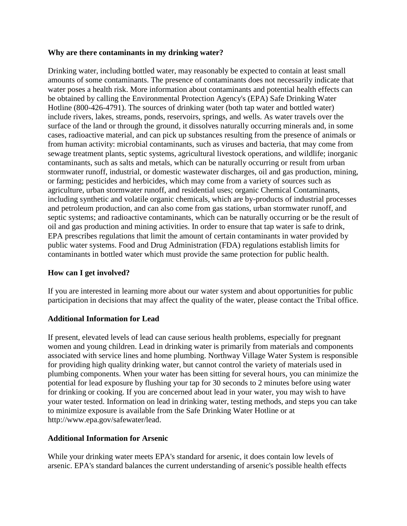#### **Why are there contaminants in my drinking water?**

Drinking water, including bottled water, may reasonably be expected to contain at least small amounts of some contaminants. The presence of contaminants does not necessarily indicate that water poses a health risk. More information about contaminants and potential health effects can be obtained by calling the Environmental Protection Agency's (EPA) Safe Drinking Water Hotline (800-426-4791). The sources of drinking water (both tap water and bottled water) include rivers, lakes, streams, ponds, reservoirs, springs, and wells. As water travels over the surface of the land or through the ground, it dissolves naturally occurring minerals and, in some cases, radioactive material, and can pick up substances resulting from the presence of animals or from human activity: microbial contaminants, such as viruses and bacteria, that may come from sewage treatment plants, septic systems, agricultural livestock operations, and wildlife; inorganic contaminants, such as salts and metals, which can be naturally occurring or result from urban stormwater runoff, industrial, or domestic wastewater discharges, oil and gas production, mining, or farming; pesticides and herbicides, which may come from a variety of sources such as agriculture, urban stormwater runoff, and residential uses; organic Chemical Contaminants, including synthetic and volatile organic chemicals, which are by-products of industrial processes and petroleum production, and can also come from gas stations, urban stormwater runoff, and septic systems; and radioactive contaminants, which can be naturally occurring or be the result of oil and gas production and mining activities. In order to ensure that tap water is safe to drink, EPA prescribes regulations that limit the amount of certain contaminants in water provided by public water systems. Food and Drug Administration (FDA) regulations establish limits for contaminants in bottled water which must provide the same protection for public health.

# **How can I get involved?**

If you are interested in learning more about our water system and about opportunities for public participation in decisions that may affect the quality of the water, please contact the Tribal office.

# **Additional Information for Lead**

If present, elevated levels of lead can cause serious health problems, especially for pregnant women and young children. Lead in drinking water is primarily from materials and components associated with service lines and home plumbing. Northway Village Water System is responsible for providing high quality drinking water, but cannot control the variety of materials used in plumbing components. When your water has been sitting for several hours, you can minimize the potential for lead exposure by flushing your tap for 30 seconds to 2 minutes before using water for drinking or cooking. If you are concerned about lead in your water, you may wish to have your water tested. Information on lead in drinking water, testing methods, and steps you can take to minimize exposure is available from the Safe Drinking Water Hotline or at http://www.epa.gov/safewater/lead.

# **Additional Information for Arsenic**

While your drinking water meets EPA's standard for arsenic, it does contain low levels of arsenic. EPA's standard balances the current understanding of arsenic's possible health effects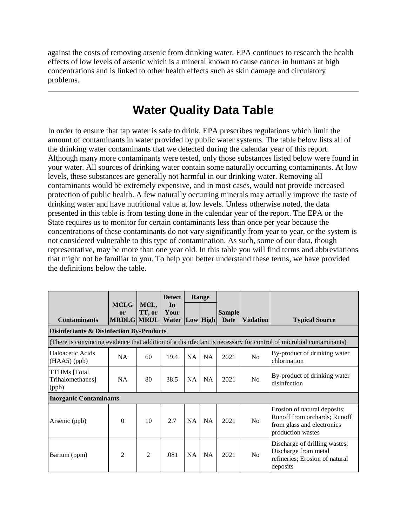against the costs of removing arsenic from drinking water. EPA continues to research the health effects of low levels of arsenic which is a mineral known to cause cancer in humans at high concentrations and is linked to other health effects such as skin damage and circulatory problems.

# **Water Quality Data Table**

In order to ensure that tap water is safe to drink, EPA prescribes regulations which limit the amount of contaminants in water provided by public water systems. The table below lists all of the drinking water contaminants that we detected during the calendar year of this report. Although many more contaminants were tested, only those substances listed below were found in your water. All sources of drinking water contain some naturally occurring contaminants. At low levels, these substances are generally not harmful in our drinking water. Removing all contaminants would be extremely expensive, and in most cases, would not provide increased protection of public health. A few naturally occurring minerals may actually improve the taste of drinking water and have nutritional value at low levels. Unless otherwise noted, the data presented in this table is from testing done in the calendar year of the report. The EPA or the State requires us to monitor for certain contaminants less than once per year because the concentrations of these contaminants do not vary significantly from year to year, or the system is not considered vulnerable to this type of contamination. As such, some of our data, though representative, may be more than one year old. In this table you will find terms and abbreviations that might not be familiar to you. To help you better understand these terms, we have provided the definitions below the table.

|                                                                                                                   | <b>MCLG</b>             | MCL,   | <b>Detect</b><br>In           |           | Range     |                              |                  |                                                                                                                 |  |
|-------------------------------------------------------------------------------------------------------------------|-------------------------|--------|-------------------------------|-----------|-----------|------------------------------|------------------|-----------------------------------------------------------------------------------------------------------------|--|
| <b>Contaminants</b>                                                                                               | or<br><b>MRDLG MRDL</b> | TT, or | Your<br><b>Water Low High</b> |           |           | <b>Sample</b><br><b>Date</b> | <b>Violation</b> | <b>Typical Source</b>                                                                                           |  |
| <b>Disinfectants &amp; Disinfection By-Products</b>                                                               |                         |        |                               |           |           |                              |                  |                                                                                                                 |  |
| (There is convincing evidence that addition of a disinfectant is necessary for control of microbial contaminants) |                         |        |                               |           |           |                              |                  |                                                                                                                 |  |
| Haloacetic Acids<br>$(HAA5)$ (ppb)                                                                                | <b>NA</b>               | 60     | 19.4                          | <b>NA</b> | <b>NA</b> | 2021                         | N <sub>0</sub>   | By-product of drinking water<br>chlorination                                                                    |  |
| <b>TTHMs</b> [Total<br>Trihalomethanes]<br>(ppb)                                                                  | NA                      | 80     | 38.5                          | <b>NA</b> | <b>NA</b> | 2021                         | N <sub>0</sub>   | By-product of drinking water<br>disinfection                                                                    |  |
| <b>Inorganic Contaminants</b>                                                                                     |                         |        |                               |           |           |                              |                  |                                                                                                                 |  |
| Arsenic (ppb)                                                                                                     | $\Omega$                | 10     | 2.7                           | NA        | <b>NA</b> | 2021                         | N <sub>0</sub>   | Erosion of natural deposits;<br>Runoff from orchards; Runoff<br>from glass and electronics<br>production wastes |  |
| Barium (ppm)                                                                                                      | 2                       | 2      | .081                          | <b>NA</b> | <b>NA</b> | 2021                         | N <sub>0</sub>   | Discharge of drilling wastes;<br>Discharge from metal<br>refineries; Erosion of natural<br>deposits             |  |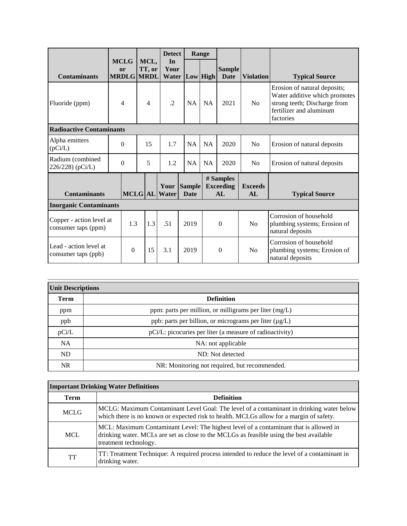|                                                 |                |                                        |   |                           | <b>Detect</b>       |  | Range                        |           |                                      |                       |                                                                                                                                       |
|-------------------------------------------------|----------------|----------------------------------------|---|---------------------------|---------------------|--|------------------------------|-----------|--------------------------------------|-----------------------|---------------------------------------------------------------------------------------------------------------------------------------|
| <b>Contaminants</b>                             |                | <b>MCLG</b><br>or<br><b>MRDLG MRDL</b> |   | MCL,<br>TT, or            | In<br>Your<br>Water |  | Low High                     |           | <b>Sample</b><br>Date                | <b>Violation</b>      | <b>Typical Source</b>                                                                                                                 |
| Fluoride (ppm)                                  | $\overline{4}$ |                                        |   | $\cdot$<br>$\overline{4}$ |                     |  | <b>NA</b>                    | <b>NA</b> | 2021                                 | N <sub>0</sub>        | Erosion of natural deposits;<br>Water additive which promotes<br>strong teeth; Discharge from<br>fertilizer and aluminum<br>factories |
| <b>Radioactive Contaminants</b>                 |                |                                        |   |                           |                     |  |                              |           |                                      |                       |                                                                                                                                       |
| Alpha emitters<br>(pCi/L)                       |                | $\theta$                               |   | 15                        | 1.7                 |  | <b>NA</b>                    | <b>NA</b> | 2020                                 | N <sub>0</sub>        | Erosion of natural deposits                                                                                                           |
| Radium (combined<br>226/228) (pCi/L)            | $\theta$       |                                        | 5 |                           | 1.2                 |  | <b>NA</b>                    | <b>NA</b> | 2020                                 | N <sub>0</sub>        | Erosion of natural deposits                                                                                                           |
| <b>Contaminants</b>                             |                | <b>MCLG</b> AL                         |   |                           | Your<br>Water       |  | <b>Sample</b><br><b>Date</b> |           | # Samples<br><b>Exceeding</b><br>AI. | <b>Exceeds</b><br>AI. | <b>Typical Source</b>                                                                                                                 |
| <b>Inorganic Contaminants</b>                   |                |                                        |   |                           |                     |  |                              |           |                                      |                       |                                                                                                                                       |
| Copper - action level at<br>consumer taps (ppm) |                | 1.3                                    |   | 1.3                       | .51                 |  | 2019                         |           | $\theta$                             | N <sub>o</sub>        | Corrosion of household<br>plumbing systems; Erosion of<br>natural deposits                                                            |
| Lead - action level at<br>consumer taps (ppb)   |                | $\Omega$                               |   | 15                        | 3.1                 |  | 2019                         |           | $\Omega$                             | N <sub>o</sub>        | Corrosion of household<br>plumbing systems; Erosion of<br>natural deposits                                                            |

| <b>Unit Descriptions</b> |                                                             |  |  |  |  |  |
|--------------------------|-------------------------------------------------------------|--|--|--|--|--|
| <b>Term</b>              | <b>Definition</b>                                           |  |  |  |  |  |
| ppm                      | ppm: parts per million, or milligrams per liter $(mg/L)$    |  |  |  |  |  |
| ppb                      | ppb: parts per billion, or micrograms per liter $(\mu g/L)$ |  |  |  |  |  |
| pCi/L                    | pCi/L: picocuries per liter (a measure of radioactivity)    |  |  |  |  |  |
| <b>NA</b>                | NA: not applicable                                          |  |  |  |  |  |
| <b>ND</b>                | ND: Not detected                                            |  |  |  |  |  |
| NR.                      | NR: Monitoring not required, but recommended.               |  |  |  |  |  |

| <b>Term</b> | <b>Definition</b>                                                                                                                                                                                         |
|-------------|-----------------------------------------------------------------------------------------------------------------------------------------------------------------------------------------------------------|
| <b>MCLG</b> | MCLG: Maximum Contaminant Level Goal: The level of a contaminant in drinking water below<br>which there is no known or expected risk to health. MCLGs allow for a margin of safety.                       |
| <b>MCL</b>  | MCL: Maximum Contaminant Level: The highest level of a contaminant that is allowed in<br>drinking water. MCLs are set as close to the MCLGs as feasible using the best available<br>treatment technology. |
| TT          | TT: Treatment Technique: A required process intended to reduce the level of a contaminant in<br>drinking water.                                                                                           |